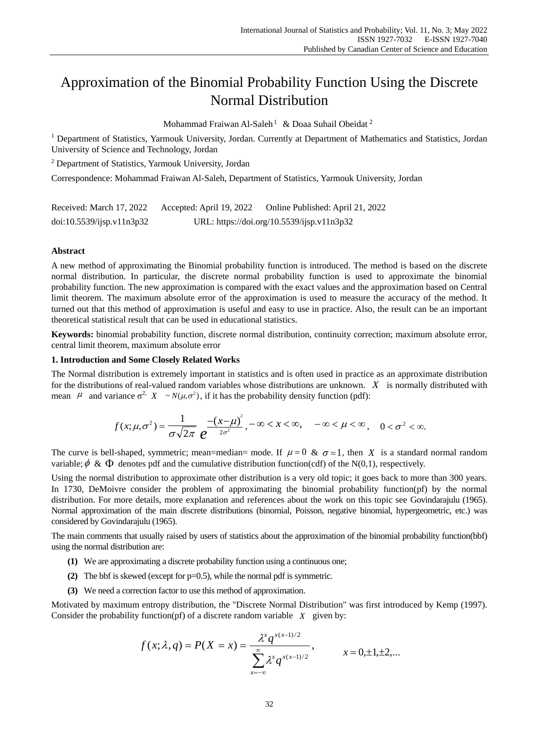# Approximation of the Binomial Probability Function Using the Discrete Normal Distribution

Mohammad Fraiwan Al-Saleh<sup>1</sup> & Doaa Suhail Obeidat<sup>2</sup>

<sup>1</sup> Department of Statistics, Yarmouk University, Jordan. Currently at Department of Mathematics and Statistics, Jordan University of Science and Technology, Jordan

<sup>2</sup> Department of Statistics, Yarmouk University, Jordan

Correspondence: Mohammad Fraiwan Al-Saleh, Department of Statistics, Yarmouk University, Jordan

| Received: March 17, 2022  | Accepted: April 19, 2022 | Online Published: April 21, 2022           |
|---------------------------|--------------------------|--------------------------------------------|
| doi:10.5539/ijsp.v11n3p32 |                          | URL: https://doi.org/10.5539/ijsp.v11n3p32 |

### **Abstract**

A new method of approximating the Binomial probability function is introduced. The method is based on the discrete normal distribution. In particular, the discrete normal probability function is used to approximate the binomial probability function. The new approximation is compared with the exact values and the approximation based on Central limit theorem. The maximum absolute error of the approximation is used to measure the accuracy of the method. It turned out that this method of approximation is useful and easy to use in practice. Also, the result can be an important theoretical statistical result that can be used in educational statistics.

**Keywords:** binomial probability function, discrete normal distribution, continuity correction; maximum absolute error, central limit theorem, maximum absolute error

## **1. Introduction and Some Closely Related Works**

The Normal distribution is extremely important in statistics and is often used in practice as an approximate distribution for the distributions of real-valued random variables whose distributions are unknown. *X* is normally distributed with mean  $\mu$  and variance  $\sigma^2$ ,  $X \sim N(\mu, \sigma^2)$ , if it has the probability density function (pdf):

$$
f(x; \mu, \sigma^2) = \frac{1}{\sigma \sqrt{2\pi}} \frac{-(x-\mu)^2}{e^{2\sigma^2}}, -\infty < x < \infty, \quad -\infty < \mu < \infty, \quad 0 < \sigma^2 < \infty.
$$

The curve is bell-shaped, symmetric; mean=median= mode. If  $\mu = 0$  &  $\sigma = 1$ , then X is a standard normal random variable;  $\phi \& \Phi$  denotes pdf and the cumulative distribution function(cdf) of the N(0,1), respectively.

Using the normal distribution to approximate other distribution is a very old topic; it goes back to more than 300 years. In 1730, DeMoivre consider the problem of approximating the binomial probability function(pf) by the normal distribution. For more details, more explanation and references about the work on this topic see Govindarajulu (1965). Normal approximation of the main discrete distributions (binomial, Poisson, negative binomial, hypergeometric, etc.) was considered by Govindarajulu (1965).

The main comments that usually raised by users of statistics about the approximation of the binomial probability function(bbf) using the normal distribution are:

- **(1)** We are approximating a discrete probability function using a continuous one;
- **(2)** The bbf is skewed (except for p=0.5), while the normal pdf is symmetric.
- **(3)** We need a correction factor to use this method of approximation.

Motivated by maximum entropy distribution, the "Discrete Normal Distribution" was first introduced by Kemp (1997). Consider the probability function( $pf$ ) of a discrete random variable  $X$  given by:

$$
f(x; \lambda, q) = P(X = x) = \frac{\lambda^x q^{x(x-1)/2}}{\sum_{x=-\infty}^{\infty} \lambda^x q^{x(x-1)/2}}, \qquad x = 0, \pm 1, \pm 2, \dots
$$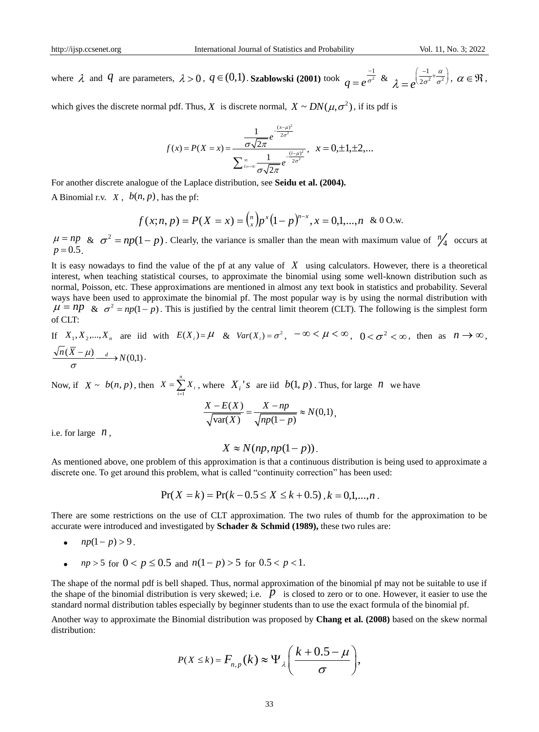where  $\lambda$  and  $q$  are parameters,  $\lambda > 0$ ,  $q \in (0,1)$ . **Szablowski** (2001) took  $q = e^{\frac{-1}{\sigma^2}}$  $\bm{\omega}$ <sup>-</sup>  $q=e^{\frac{-1}{\sigma^2}} \& \lambda=e^{\left(\frac{-1}{2\sigma^2}+\frac{\alpha}{\sigma^2}\right)}$  $e^{2}$  $\mu$  $\lambda=e^{2\sigma^2-\sigma^2}$  $=e^{\left(\frac{-1}{2\sigma^2}+\frac{\alpha}{\sigma^2}\right)},\ \alpha\in\mathfrak{R},$ 

which gives the discrete normal pdf. Thus, X is discrete normal,  $X \sim DN(\mu, \sigma^2)$ , if its pdf is

$$
f(x) = P(X = x) = \frac{\frac{1}{\sigma\sqrt{2\pi}}e^{-\frac{(x-\mu)^2}{2\sigma^2}}}{\sum_{i=-\infty}^{\infty}\frac{1}{\sigma\sqrt{2\pi}}e^{-\frac{(i-\mu)^2}{2\sigma^2}}}, \quad x = 0, \pm 1, \pm 2, \dots
$$

For another discrete analogue of the Laplace distribution, see **Seidu et al. (2004).**

A Binomial r.v.  $X$ ,  $b(n, p)$ , has the pf:

$$
f(x;n,p) = P(X = x) = {n \choose x} p^x (1-p)^{n-x}, x = 0,1,...,n \& 0 \text{ O.w.}
$$

 $\mu = np$  &  $\sigma^2 = np(1-p)$ . Clearly, the variance is smaller than the mean with maximum value of  $\frac{n}{4}$  occurs at  $p = 0.5$ .

It is easy nowadays to find the value of the pf at any value of *X* using calculators. However, there is a theoretical interest, when teaching statistical courses, to approximate the binomial using some well-known distribution such as normal, Poisson, etc. These approximations are mentioned in almost any text book in statistics and probability. Several ways have been used to approximate the binomial pf. The most popular way is by using the normal distribution with  $\mu = np \& \sigma^2 = np(1-p)$ . This is justified by the central limit theorem (CLT). The following is the simplest form of CLT:

If  $X_1, X_2, ..., X_n$  are iid with  $E(X_i) = \mu$  &  $Var(X_i) = \sigma^2$ ,  $-\infty < \mu < \infty$ ,  $0 < \sigma^2 < \infty$ , then as  $n \to \infty$ ,  $\frac{n(X-\mu)}{\mu} \longrightarrow N(0,1).$ σ

Now, if  $X \sim b(n, p)$ , then  $X = \sum_{i=1}^{n}$  $X = \sum_{i=1}^{n} X_i$ , where  $X_i$ 's are iid  $b(1, p)$ . Thus, for large *n* we have<br> $\frac{X - E(X)}{T} = \frac{X - np}{T} \approx N(0, 1)$ ,

$$
\frac{X - E(X)}{\sqrt{\text{var}(X)}} = \frac{X - np}{\sqrt{np(1 - p)}} \approx N(0, 1),
$$

i.e. for large  $n$ ,

$$
X \approx N(np, np(1-p)).
$$

As mentioned above, one problem of this approximation is that a continuous distribution is being used to approximate a discrete one. To get around this problem, what is called "continuity correction" has been used:

$$
Pr(X = k) = Pr(k - 0.5 \le X \le k + 0.5), k = 0,1,...,n.
$$

There are some restrictions on the use of CLT approximation. The two rules of thumb for the approximation to be accurate were introduced and investigated by **Schader & Schmid (1989),** these two rules are:

- $np(1-p) > 9$ .
- *np* > 5 for  $0 < p \le 0.5$  and  $n(1-p) > 5$  for  $0.5 < p < 1$ .

The shape of the normal pdf is bell shaped. Thus, normal approximation of the binomial pf may not be suitable to use if the shape of the binomial distribution is very skewed; i.e. *p* is closed to zero or to one. However, it easier to use the standard normal distribution tables especially by beginner students than to use the exact formula of the binomial pf.

Another way to approximate the Binomial distribution was proposed by **Chang et al. (2008)** based on the skew normal distribution:

$$
P(X \le k) = F_{n,p}(k) \approx \Psi_{\lambda} \left( \frac{k + 0.5 - \mu}{\sigma} \right),
$$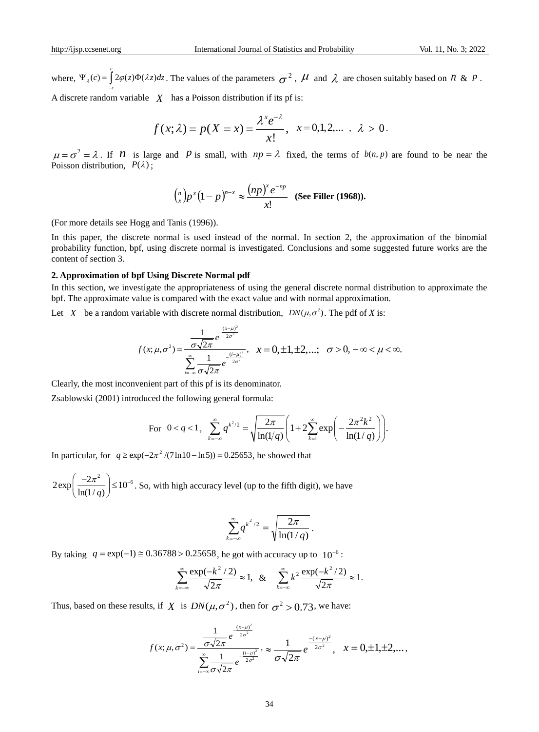where,  $\Psi_{\lambda}(c) = \int_{c}^{c} 2\varphi(z)\Phi(\lambda z)dz$ . The values of the parameters  $\sigma^2$ ,  $\mu$  and  $\lambda$  are chosen suitably based on  $n \& p$ . *c*  $^{-}$ 

A discrete random variable  $X$  has a Poisson distribution if its pf is:

$$
f(x; \lambda) = p(X = x) = \frac{\lambda^x e^{-\lambda}}{x!}, \quad x = 0, 1, 2, \dots, \lambda > 0.
$$

 $\mu = \sigma^2 = \lambda$ . If *n* is large and *p* is small, with  $np = \lambda$  fixed, the terms of  $b(n, p)$  are found to be near the Poisson distribution,  $P(\lambda)$ ;

$$
{\binom{n}{x}}p^x(1-p)^{n-x}\approx \frac{(np)^x e^{-np}}{x!} \quad \text{(See Filter (1968))}.
$$

(For more details see Hogg and Tanis (1996)).

In this paper, the discrete normal is used instead of the normal. In section 2, the approximation of the binomial probability function, bpf, using discrete normal is investigated. Conclusions and some suggested future works are the content of section 3.

#### **2. Approximation of bpf Using Discrete Normal pdf**

In this section, we investigate the appropriateness of using the general discrete normal distribution to approximate the bpf. The approximate value is compared with the exact value and with normal approximation.

Let X be a random variable with discrete normal distribution,  $DN(\mu, \sigma^2)$ . The pdf of X is:

$$
f(x; \mu, \sigma^2) = \frac{\frac{1}{\sigma \sqrt{2\pi}} e^{-\frac{(x-\mu)^2}{2\sigma^2}}}{\sum_{i=-\infty}^{\infty} \frac{1}{\sigma \sqrt{2\pi}} e^{-\frac{(i-\mu)^2}{2\sigma^2}}}, \quad x = 0, \pm 1, \pm 2, \dots; \quad \sigma > 0, -\infty < \mu < \infty.
$$

Clearly, the most inconvenient part of this pf is its denominator.

Zsablowski (2001) introduced the following general formula:

2.1. 
$$
\int_{0}^{\infty} q^{k^2/2} = \sqrt{\frac{2\pi}{\ln(1/q)}} \left( 1 + 2 \sum_{k=1}^{\infty} \exp\left(-\frac{2\pi^2 k^2}{\ln(1/q)}\right) \right).
$$

In particular, for  $q \ge \exp(-2\pi^2 / (7 \ln 10 - \ln 5)) = 0.25653$ , he showed that

 $2 \exp \left( \frac{-2\pi^2}{1-(1+\epsilon)} \right) \leq 10^{-6}$  $\frac{1}{\ln(1/q)}$  $\begin{pmatrix} -2\pi^2 \\ -10^{-7} \end{pmatrix}$  $\left(\frac{-2n}{\ln(1/q)}\right) \le 10^{-6}$ . So, with high accuracy level (up to the fifth digit), we have

$$
\sum_{k=-\infty}^{\infty} q^{k^2/2} = \sqrt{\frac{2\pi}{\ln(1/q)}}.
$$

By taking  $q = \exp(-1) \approx 0.36788 > 0.25658$ , he got with accuracy up to  $10^{-6}$ :

$$
\sum_{k=-\infty}^{\infty} \frac{\exp(-k^2/2)}{\sqrt{2\pi}} \approx 1, \quad \& \quad \sum_{k=-\infty}^{\infty} k^2 \frac{\exp(-k^2/2)}{\sqrt{2\pi}} \approx 1.
$$

Thus, based on these results, if  $X$  is  $DN(\mu, \sigma^2)$ , then for  $\sigma^2 > 0.73$ , we have:

$$
f(x; \mu, \sigma^2) = \frac{\frac{1}{\sigma \sqrt{2\pi}} e^{-\frac{(x-\mu)^2}{2\sigma^2}}}{\sum_{i=-\infty}^{\infty} \frac{1}{\sigma \sqrt{2\pi}} e^{-\frac{(i-\mu)^2}{2\sigma^2}}}, \approx \frac{1}{\sigma \sqrt{2\pi}} e^{-\frac{-(x-\mu)^2}{2\sigma^2}}, \quad x = 0, \pm 1, \pm 2, \dots,
$$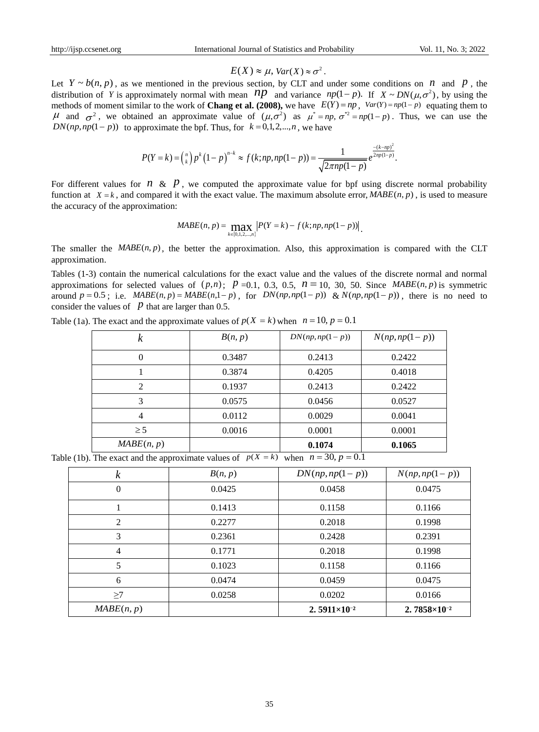## $E(X) \approx \mu$ ,  $Var(X) \approx \sigma^2$ .

Let  $Y \sim b(n, p)$ , as we mentioned in the previous section, by CLT and under some conditions on *n* and *p*, the distribution of *Y* is approximately normal with mean  $np$  and variance  $np(1-p)$ . If  $X \sim DN(\mu, \sigma^2)$ , by using the methods of moment similar to the work of **Chang et al. (2008)**, we have  $E(Y) = np$ ,  $Var(Y) = np(1-p)$  equating them to H and  $\sigma^2$ , we obtained an approximate value of  $(\mu, \sigma^2)$  as  $\mu^* = np$ ,  $\sigma^{*2} = np(1-p)$ . Thus, we can use the

$$
DN(np, np(1-p)) \text{ to approximate the bpf. Thus, for } k = 0, 1, 2, ..., n, \text{ we have}
$$
\n
$$
P(Y = k) = {n \choose k} p^k (1-p)^{n-k} \approx f(k; np, np(1-p)) = \frac{1}{\sqrt{2\pi np(1-p)}} e^{\frac{-(k-np)^2}{2np(1-p)}}.
$$

For different values for  $n \& p$ , we computed the approximate value for bpf using discrete normal probability function at  $X = k$ , and compared it with the exact value. The maximum absolute error,  $MABE(n, p)$ , is used to measure the accuracy of the approximation:

$$
MABE(n, p) = \max_{k \in [0, 1, 2, \ldots, n]} |P(Y = k) - f(k; np, np(1 - p))|
$$

The smaller the  $MABE(n, p)$ , the better the approximation. Also, this approximation is compared with the CLT approximation.

Tables (1-3) contain the numerical calculations for the exact value and the values of the discrete normal and normal approximations for selected values of  $(p,n)$ ;  $p = 0.1$ , 0.3, 0.5,  $n = 10$ , 30, 50. Since *MABE*(*n*, *p*) is symmetric around  $p = 0.5$ ; i.e.  $MABE(n, p) = MABE(n, 1-p)$ , for  $DN(np, np(1-p))$  &  $N(np, np(1-p))$ , there is no need to consider the values of  $\overline{p}$  that are larger than 0.5.

| k              | B(n, p) | $DN(np, np(1-p))$ | $N(np, np(1-p))$ |
|----------------|---------|-------------------|------------------|
| $\theta$       | 0.3487  | 0.2413            | 0.2422           |
|                | 0.3874  | 0.4205            | 0.4018           |
| $\overline{c}$ | 0.1937  | 0.2413            | 0.2422           |
| 3              | 0.0575  | 0.0456            | 0.0527           |
| 4              | 0.0112  | 0.0029            | 0.0041           |
| $\geq$ 5       | 0.0016  | 0.0001            | 0.0001           |
| MABE(n, p)     |         | 0.1074            | 0.1065           |

|             |                                                   | $E(X) \approx \mu$ , $Var(X) \approx \sigma^2$ .                                                                                                                                                                                                                                                                                                                                                                                                                                                                  |                         |                       |  |
|-------------|---------------------------------------------------|-------------------------------------------------------------------------------------------------------------------------------------------------------------------------------------------------------------------------------------------------------------------------------------------------------------------------------------------------------------------------------------------------------------------------------------------------------------------------------------------------------------------|-------------------------|-----------------------|--|
|             |                                                   | $Y \sim b(n, p)$ , as we mentioned in the previous section, by CLT and under some conditions on <i>n</i> and <i>p</i><br>ribution of Y is approximately normal with mean $np$ and variance $np(1-p)$ . If $X \sim DN(\mu, \sigma^2)$ , by usin<br>hods of moment similar to the work of <b>Chang et al. (2008)</b> , we have $E(Y) = np$ , $Var(Y) = np(1-p)$ equating the<br>and $\sigma^2$ , we obtained an approximate value of $(\mu, \sigma^2)$ as $\mu^* = np$ , $\sigma^{*2} = np(1-p)$ . Thus, we can use |                         |                       |  |
|             |                                                   | $(np, np(1-p))$ to approximate the bpf. Thus, for $k = 0, 1, 2, , n$ , we have                                                                                                                                                                                                                                                                                                                                                                                                                                    |                         |                       |  |
|             |                                                   | $P(Y = k) = {n \choose k} p^{k} (1-p)^{n-k} \approx f(k; np, np(1-p)) = \frac{1}{\sqrt{2\pi np(1-p)}} e^{\frac{-(k-np)}{2np(1-p)}}.$                                                                                                                                                                                                                                                                                                                                                                              |                         |                       |  |
|             | accuracy of the approximation:                    | different values for $n \& p$ , we computed the approximate value for bpf using discrete normal probal<br>tion at $X = k$ , and compared it with the exact value. The maximum absolute error, $MABE(n, p)$ , is used to mean                                                                                                                                                                                                                                                                                      |                         |                       |  |
|             |                                                   | $MABE(n, p) = \max_{k \in [0, 1, 2, \ldots, n]}  P(Y = k) - f(k; np, np(1-p)) $ .                                                                                                                                                                                                                                                                                                                                                                                                                                 |                         |                       |  |
| roximation. |                                                   | smaller the $MABE(n, p)$ , the better the approximation. Also, this approximation is compared with the                                                                                                                                                                                                                                                                                                                                                                                                            |                         |                       |  |
|             | sider the values of $p$ that are larger than 0.5. | les (1-3) contain the numerical calculations for the exact value and the values of the discrete normal and no<br>roximations for selected values of $(p,n)$ ; $p = 0.1$ , 0.3, 0.5, $n = 10$ , 30, 50. Since $MABE(n, p)$ is symm<br>and $p = 0.5$ ; i.e. $MABE(n, p) = MABE(n, 1-p)$ , for $DN(np, np(1-p))$ & $N(np, np(1-p))$ , there is no nee                                                                                                                                                                |                         |                       |  |
|             |                                                   | le (1a). The exact and the approximate values of $p(X = k)$ when $n = 10$ , $p = 0.1$                                                                                                                                                                                                                                                                                                                                                                                                                             |                         |                       |  |
|             | $\boldsymbol{k}$                                  | B(n, p)                                                                                                                                                                                                                                                                                                                                                                                                                                                                                                           | $DN(np, np(1-p))$       | $N(np, np(1-p))$      |  |
|             | $\boldsymbol{0}$                                  | 0.3487                                                                                                                                                                                                                                                                                                                                                                                                                                                                                                            | 0.2413                  | 0.2422                |  |
|             | 1                                                 | 0.3874                                                                                                                                                                                                                                                                                                                                                                                                                                                                                                            | 0.4205                  | 0.4018                |  |
|             | $\overline{c}$                                    | 0.1937                                                                                                                                                                                                                                                                                                                                                                                                                                                                                                            | 0.2413                  | 0.2422                |  |
|             | 3                                                 | 0.0575                                                                                                                                                                                                                                                                                                                                                                                                                                                                                                            | 0.0456                  | 0.0527                |  |
|             | $\overline{4}$                                    | 0.0112                                                                                                                                                                                                                                                                                                                                                                                                                                                                                                            | 0.0029                  | 0.0041                |  |
|             | $\geq$ 5                                          | 0.0016                                                                                                                                                                                                                                                                                                                                                                                                                                                                                                            | 0.0001                  | 0.0001                |  |
|             | MABE(n, p)                                        |                                                                                                                                                                                                                                                                                                                                                                                                                                                                                                                   | 0.1074                  | 0.1065                |  |
|             |                                                   | le (1b). The exact and the approximate values of $p(X = k)$ when $n = 30, p = 0.1$                                                                                                                                                                                                                                                                                                                                                                                                                                |                         |                       |  |
|             | $\boldsymbol{k}$                                  | B(n, p)                                                                                                                                                                                                                                                                                                                                                                                                                                                                                                           | $DN(np, np(1-p))$       | $N(np, np(1-p))$      |  |
|             | $\boldsymbol{0}$                                  | 0.0425                                                                                                                                                                                                                                                                                                                                                                                                                                                                                                            | 0.0458                  | 0.0475                |  |
|             | $\mathbf 1$                                       | 0.1413                                                                                                                                                                                                                                                                                                                                                                                                                                                                                                            | 0.1158                  | 0.1166                |  |
|             | $\mathbf{2}$                                      | 0.2277                                                                                                                                                                                                                                                                                                                                                                                                                                                                                                            | 0.2018                  | 0.1998                |  |
|             | 3                                                 | 0.2361                                                                                                                                                                                                                                                                                                                                                                                                                                                                                                            | 0.2428                  | 0.2391                |  |
|             | $\overline{4}$                                    | 0.1771                                                                                                                                                                                                                                                                                                                                                                                                                                                                                                            | 0.2018                  | 0.1998                |  |
|             | $\sqrt{5}$                                        | 0.1023                                                                                                                                                                                                                                                                                                                                                                                                                                                                                                            | 0.1158                  | 0.1166                |  |
|             | $6\,$                                             | 0.0474                                                                                                                                                                                                                                                                                                                                                                                                                                                                                                            | 0.0459                  | 0.0475                |  |
|             | $\geq$ 7                                          | 0.0258                                                                                                                                                                                                                                                                                                                                                                                                                                                                                                            | 0.0202                  | 0.0166                |  |
|             | MABE(n, p)                                        |                                                                                                                                                                                                                                                                                                                                                                                                                                                                                                                   | $2.5911 \times 10^{-2}$ | $2.7858\times10^{-2}$ |  |
|             |                                                   |                                                                                                                                                                                                                                                                                                                                                                                                                                                                                                                   |                         |                       |  |
|             |                                                   | 35                                                                                                                                                                                                                                                                                                                                                                                                                                                                                                                |                         |                       |  |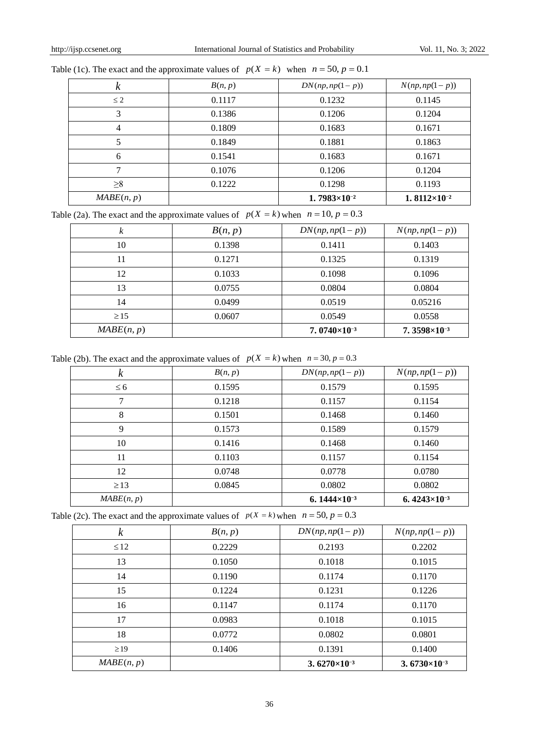| κ          | B(n, p) | $DN(np, np(1-p))$       | $N(np, np(1-p))$                 |
|------------|---------|-------------------------|----------------------------------|
| $\leq 2$   | 0.1117  | 0.1232                  | 0.1145                           |
| 3          | 0.1386  | 0.1206                  | 0.1204                           |
| 4          | 0.1809  | 0.1683                  | 0.1671                           |
|            | 0.1849  | 0.1881                  | 0.1863                           |
| 6          | 0.1541  | 0.1683                  | 0.1671                           |
|            | 0.1076  | 0.1206                  | 0.1204                           |
| $\geq 8$   | 0.1222  | 0.1298                  | 0.1193                           |
| MABE(n, p) |         | $1.7983 \times 10^{-2}$ | 1.8112 $\times$ 10 <sup>-2</sup> |

| Table (1c). The exact and the approximate values of $p(X = k)$ when $n = 50$ , $p = 0.1$ |  |  |  |
|------------------------------------------------------------------------------------------|--|--|--|
|------------------------------------------------------------------------------------------|--|--|--|

Table (2a). The exact and the approximate values of  $p(X = k)$  when  $n = 10$ ,  $p = 0.3$ 

| k          | B(n, p) | $DN(np, np(1-p))$        | $N(np, np(1-p))$      |
|------------|---------|--------------------------|-----------------------|
| 10         | 0.1398  | 0.1411                   | 0.1403                |
| 11         | 0.1271  | 0.1325                   | 0.1319                |
| 12         | 0.1033  | 0.1098                   | 0.1096                |
| 13         | 0.0755  | 0.0804                   | 0.0804                |
| 14         | 0.0499  | 0.0519                   | 0.05216               |
| $\geq$ 15  | 0.0607  | 0.0549                   | 0.0558                |
| MABE(n, p) |         | 7. $0740 \times 10^{-3}$ | $7.3598\times10^{-3}$ |

Table (2b). The exact and the approximate values of  $p(X = k)$  when  $n = 30, p = 0.3$ 

| $\boldsymbol{k}$ | B(n, p) | $DN(np, np(1-p))$                | $N(np, np(1-p))$         |
|------------------|---------|----------------------------------|--------------------------|
| $\leq 6$         | 0.1595  | 0.1579                           | 0.1595                   |
| 7                | 0.1218  | 0.1157                           | 0.1154                   |
| 8                | 0.1501  | 0.1468                           | 0.1460                   |
| 9                | 0.1573  | 0.1589                           | 0.1579                   |
| 10               | 0.1416  | 0.1468                           | 0.1460                   |
| 11               | 0.1103  | 0.1157                           | 0.1154                   |
| 12               | 0.0748  | 0.0778                           | 0.0780                   |
| $\geq$ 13        | 0.0845  | 0.0802                           | 0.0802                   |
| MABE(n, p)       |         | 6.1444 $\times$ 10 <sup>-3</sup> | 6. $4243 \times 10^{-3}$ |

Table (2c). The exact and the approximate values of  $p(X = k)$  when  $n = 50$ ,  $p = 0.3$ 

| $\kappa$   | B(n, p) | $DN(np, np(1-p))$                | $N(np, np(1-p))$                 |
|------------|---------|----------------------------------|----------------------------------|
| $\leq$ 12  | 0.2229  | 0.2193                           | 0.2202                           |
| 13         | 0.1050  | 0.1018                           | 0.1015                           |
| 14         | 0.1190  | 0.1174                           | 0.1170                           |
| 15         | 0.1224  | 0.1231                           | 0.1226                           |
| 16         | 0.1147  | 0.1174                           | 0.1170                           |
| 17         | 0.0983  | 0.1018                           | 0.1015                           |
| 18         | 0.0772  | 0.0802                           | 0.0801                           |
| $\geq$ 19  | 0.1406  | 0.1391                           | 0.1400                           |
| MABE(n, p) |         | 3.6270 $\times$ 10 <sup>-3</sup> | 3.6730 $\times$ 10 <sup>-3</sup> |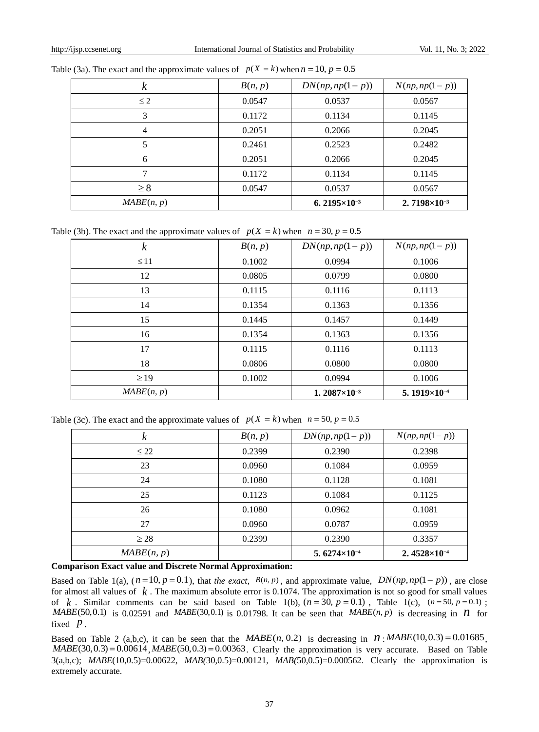| k          | B(n, p) | $DN(np, np(1-p))$        | $N(np, np(1-p))$                 |
|------------|---------|--------------------------|----------------------------------|
| $\leq 2$   | 0.0547  | 0.0537                   | 0.0567                           |
| 3          | 0.1172  | 0.1134                   | 0.1145                           |
| 4          | 0.2051  | 0.2066                   | 0.2045                           |
| 5          | 0.2461  | 0.2523                   | 0.2482                           |
| 6          | 0.2051  | 0.2066                   | 0.2045                           |
| 7          | 0.1172  | 0.1134                   | 0.1145                           |
| $\geq 8$   | 0.0547  | 0.0537                   | 0.0567                           |
| MABE(n, p) |         | 6. $2195 \times 10^{-3}$ | 2.7198 $\times$ 10 <sup>-3</sup> |

Table (3a). The exact and the approximate values of  $p(X = k)$  when  $n = 10$ ,  $p = 0.5$ 

Table (3b). The exact and the approximate values of  $p(X = k)$  when  $n = 30$ ,  $p = 0.5$ 

| $\boldsymbol{k}$ | B(n, p) | $DN(np, np(1-p))$        | $N(np, np(1-p))$                 |
|------------------|---------|--------------------------|----------------------------------|
| $\leq$ 11        | 0.1002  | 0.0994                   | 0.1006                           |
| 12               | 0.0805  | 0.0799                   | 0.0800                           |
| 13               | 0.1115  | 0.1116                   | 0.1113                           |
| 14               | 0.1354  | 0.1363                   | 0.1356                           |
| 15               | 0.1445  | 0.1457                   | 0.1449                           |
| 16               | 0.1354  | 0.1363                   | 0.1356                           |
| 17               | 0.1115  | 0.1116                   | 0.1113                           |
| 18               | 0.0806  | 0.0800                   | 0.0800                           |
| $\geq$ 19        | 0.1002  | 0.0994                   | 0.1006                           |
| MABE(n, p)       |         | 1. $2087 \times 10^{-3}$ | 5.1919 $\times$ 10 <sup>-4</sup> |

Table (3c). The exact and the approximate values of  $p(X = k)$  when  $n = 50$ ,  $p = 0.5$ 

| k          | B(n, p) | $DN(np, np(1-p))$                | $N(np, np(1-p))$       |
|------------|---------|----------------------------------|------------------------|
| $\leq$ 22  | 0.2399  | 0.2390                           | 0.2398                 |
| 23         | 0.0960  | 0.1084                           | 0.0959                 |
| 24         | 0.1080  | 0.1128                           | 0.1081                 |
| 25         | 0.1123  | 0.1084                           | 0.1125                 |
| 26         | 0.1080  | 0.0962                           | 0.1081                 |
| 27         | 0.0960  | 0.0787                           | 0.0959                 |
| $\geq$ 28  | 0.2399  | 0.2390                           | 0.3357                 |
| MABE(n, p) |         | 5.6274 $\times$ 10 <sup>-4</sup> | 2. $4528\times10^{-4}$ |

## **Comparison Exact value and Discrete Normal Approximation:**

Based on Table 1(a),  $(n=10, p=0.1)$ , that *the exact,*  $B(n, p)$ , and approximate value,  $DN(np, np(1-p))$ , are close for almost all values of *k* . The maximum absolute error is 0.1074. The approximation is not so good for small values of k. Similar comments can be said based on Table 1(b),  $(n = 30, p = 0.1)$ , Table 1(c),  $(n = 50, p = 0.1)$ ;  $MABE(50,0.1)$  is 0.02591 and  $MABE(30,0.1)$  is 0.01798. It can be seen that  $MABE(n, p)$  is decreasing in *n* for fixed  $\overline{p}$ .

Example 2 (a,b,c), it can be seen that the  $MABE(n, 0.2)$  is decreasing in  $n$ :  $MABE(10,0.3) = 0.01685$ , Based on Table 2 (a,b,c), it can be seen that the  $MABE(n, 0.2)$  is decreasing in  $N:MABE(10,0.3) = 0.01685$ ,  $MABE(30,0.3) = 0.00614$ ,  $MABE(50,0.3) = 0.00363$ . Clearly the approximation is very accurate. Based on Table 3(a,b,c); *MABE*(10,0.5)=0.00622, *MAB(*30,0.5)=0.00121, *MAB(*50,0.5)=0.000562. Clearly the approximation is extremely accurate.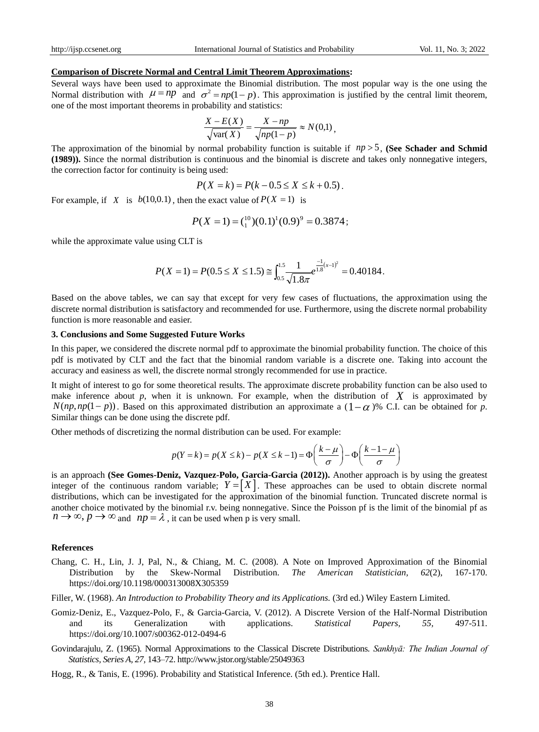## **Comparison of Discrete Normal and Central Limit Theorem Approximations:**

Several ways have been used to approximate the Binomial distribution. The most popular way is the one using the Normal distribution with  $\mu = np$  and  $\sigma^2 = np(1-p)$ . This approximation is justified by the central limit theorem, one of the most important theorems in probability and statistics:

$$
\frac{X - E(X)}{\sqrt{\text{var}(X)}} = \frac{X - np}{\sqrt{np(1 - p)}} \approx N(0,1),
$$

The approximation of the binomial by normal probability function is suitable if  $np > 5$ , (See Schader and Schmid **(1989)).** Since the normal distribution is continuous and the binomial is discrete and takes only nonnegative integers, the correction factor for continuity is being used:

$$
P(X = k) = P(k - 0.5 \le X \le k + 0.5).
$$

For example, if *X* is  $b(10,0.1)$ , then the exact value of  $P(X = 1)$  is

$$
P(X = 1) = {^{10}}_1(0.1)^1(0.9)^9 = 0.3874;
$$

while the approximate value using CLT is

$$
P(X=1) = P(0.5 \le X \le 1.5) \approx \int_{0.5}^{1.5} \frac{1}{\sqrt{1.8\pi}} e^{\frac{-1}{1.8}(x-1)^2} = 0.40184.
$$

Based on the above tables, we can say that except for very few cases of fluctuations, the approximation using the discrete normal distribution is satisfactory and recommended for use. Furthermore, using the discrete normal probability function is more reasonable and easier.

## **3. Conclusions and Some Suggested Future Works**

In this paper, we considered the discrete normal pdf to approximate the binomial probability function. The choice of this pdf is motivated by CLT and the fact that the binomial random variable is a discrete one. Taking into account the accuracy and easiness as well, the discrete normal strongly recommended for use in practice.

It might of interest to go for some theoretical results. The approximate discrete probability function can be also used to make inference about  $p$ , when it is unknown. For example, when the distribution of  $X$  is approximated by  $N(np, np(1-p))$ . Based on this approximated distribution an approximate a  $(1-\alpha)$ % C.I. can be obtained for *p*. Similar things can be done using the discrete pdf.

Other methods of discretizing the normal distribution can be used. For example:

the discrete pdf.  
\n
$$
p(Y = k) = p(X \le k) - p(X \le k - 1) = \Phi\left(\frac{k - \mu}{\sigma}\right) - \Phi\left(\frac{k - 1 - \mu}{\sigma}\right)
$$

is an approach **(See Gomes-Deniz, Vazquez-Polo, Garcia-Garcia (2012)).** Another approach is by using the greatest integer of the continuous random variable;  $Y = \begin{bmatrix} X \end{bmatrix}$ . These approaches can be used to obtain discrete normal distributions, which can be investigated for the approximation of the binomial function. Truncated discrete normal is another choice motivated by the binomial r.v. being nonnegative. Since the Poisson pf is the limit of the binomial pf as  $n \to \infty$ ,  $p \to \infty$  and  $np = \lambda$ , it can be used when p is very small.

#### **References**

- Chang, C. H., Lin, J. J, Pal, N., & Chiang, M. C. (2008). A Note on Improved Approximation of the Binomial Distribution by the Skew-Normal Distribution. *The American Statistician, 62*(2), 167-170. <https://doi.org/10.1198/000313008X305359>
- Filler, W. (1968). *An Introduction to Probability Theory and its Applications.* (3rd ed.) Wiley Eastern Limited.
- Gomiz-Deniz, E., Vazquez-Polo, F., & Garcia-Garcia, V. (2012). A Discrete Version of the Half-Normal Distribution and its Generalization with applications. *Statistical Papers, 55,* 497-511. <https://doi.org/10.1007/s00362-012-0494-6>
- Govindarajulu, Z. (1965). Normal Approximations to the Classical Discrete Distributions. *Sankhyā: The Indian Journal of Statistics, Series A, 27,* 143–72. http://www.jstor.org/stable/25049363
- Hogg, R., & Tanis, E. (1996). Probability and Statistical Inference. (5th ed.). Prentice Hall.